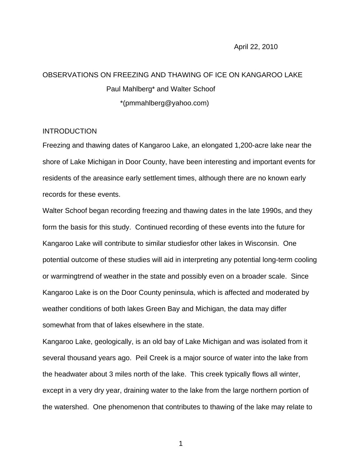## OBSERVATIONS ON FREEZING AND THAWING OF ICE ON KANGAROO LAKE Paul Mahlberg\* and Walter Schoof \*(pmmahlberg@yahoo.com)

## **INTRODUCTION**

Freezing and thawing dates of Kangaroo Lake, an elongated 1,200-acre lake near the shore of Lake Michigan in Door County, have been interesting and important events for residents of the areasince early settlement times, although there are no known early records for these events.

Walter Schoof began recording freezing and thawing dates in the late 1990s, and they form the basis for this study. Continued recording of these events into the future for Kangaroo Lake will contribute to similar studiesfor other lakes in Wisconsin. One potential outcome of these studies will aid in interpreting any potential long-term cooling or warmingtrend of weather in the state and possibly even on a broader scale. Since Kangaroo Lake is on the Door County peninsula, which is affected and moderated by weather conditions of both lakes Green Bay and Michigan, the data may differ somewhat from that of lakes elsewhere in the state.

Kangaroo Lake, geologically, is an old bay of Lake Michigan and was isolated from it several thousand years ago. Peil Creek is a major source of water into the lake from the headwater about 3 miles north of the lake. This creek typically flows all winter, except in a very dry year, draining water to the lake from the large northern portion of the watershed. One phenomenon that contributes to thawing of the lake may relate to

1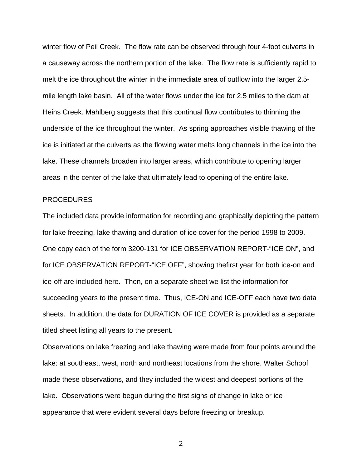winter flow of Peil Creek. The flow rate can be observed through four 4-foot culverts in a causeway across the northern portion of the lake. The flow rate is sufficiently rapid to melt the ice throughout the winter in the immediate area of outflow into the larger 2.5 mile length lake basin. All of the water flows under the ice for 2.5 miles to the dam at Heins Creek. Mahlberg suggests that this continual flow contributes to thinning the underside of the ice throughout the winter. As spring approaches visible thawing of the ice is initiated at the culverts as the flowing water melts long channels in the ice into the lake. These channels broaden into larger areas, which contribute to opening larger areas in the center of the lake that ultimately lead to opening of the entire lake.

## PROCEDURES

The included data provide information for recording and graphically depicting the pattern for lake freezing, lake thawing and duration of ice cover for the period 1998 to 2009. One copy each of the form 3200-131 for ICE OBSERVATION REPORT-"ICE ON", and for ICE OBSERVATION REPORT-"ICE OFF", showing thefirst year for both ice-on and ice-off are included here. Then, on a separate sheet we list the information for succeeding years to the present time. Thus, ICE-ON and ICE-OFF each have two data sheets. In addition, the data for DURATION OF ICE COVER is provided as a separate titled sheet listing all years to the present.

Observations on lake freezing and lake thawing were made from four points around the lake: at southeast, west, north and northeast locations from the shore. Walter Schoof made these observations, and they included the widest and deepest portions of the lake. Observations were begun during the first signs of change in lake or ice appearance that were evident several days before freezing or breakup.

2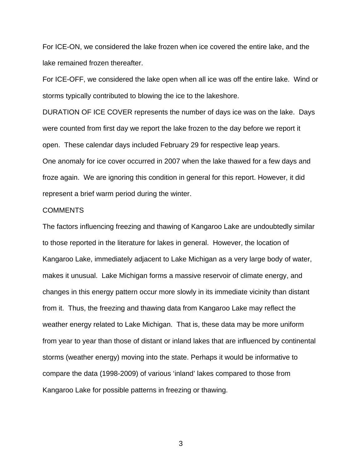For ICE-ON, we considered the lake frozen when ice covered the entire lake, and the lake remained frozen thereafter.

For ICE-OFF, we considered the lake open when all ice was off the entire lake. Wind or storms typically contributed to blowing the ice to the lakeshore.

DURATION OF ICE COVER represents the number of days ice was on the lake. Days were counted from first day we report the lake frozen to the day before we report it open. These calendar days included February 29 for respective leap years. One anomaly for ice cover occurred in 2007 when the lake thawed for a few days and froze again. We are ignoring this condition in general for this report. However, it did represent a brief warm period during the winter.

## COMMENTS

The factors influencing freezing and thawing of Kangaroo Lake are undoubtedly similar to those reported in the literature for lakes in general. However, the location of Kangaroo Lake, immediately adjacent to Lake Michigan as a very large body of water, makes it unusual. Lake Michigan forms a massive reservoir of climate energy, and changes in this energy pattern occur more slowly in its immediate vicinity than distant from it. Thus, the freezing and thawing data from Kangaroo Lake may reflect the weather energy related to Lake Michigan. That is, these data may be more uniform from year to year than those of distant or inland lakes that are influenced by continental storms (weather energy) moving into the state. Perhaps it would be informative to compare the data (1998-2009) of various 'inland' lakes compared to those from Kangaroo Lake for possible patterns in freezing or thawing.

3